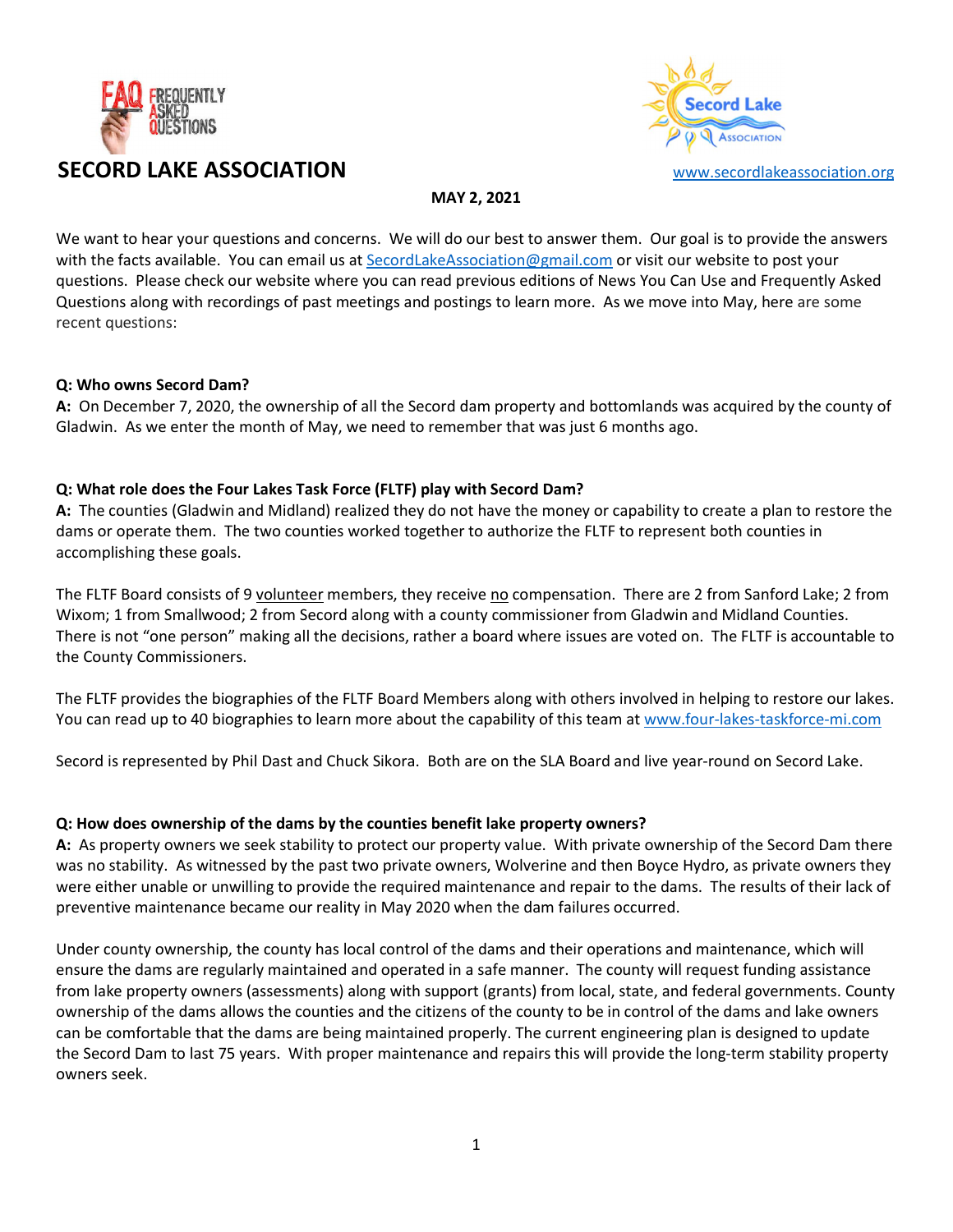



MAY 2, 2021

We want to hear your questions and concerns. We will do our best to answer them. Our goal is to provide the answers with the facts available. You can email us at SecordLakeAssociation@gmail.com or visit our website to post your questions. Please check our website where you can read previous editions of News You Can Use and Frequently Asked Questions along with recordings of past meetings and postings to learn more. As we move into May, here are some recent questions:

#### Q: Who owns Secord Dam?

A: On December 7, 2020, the ownership of all the Secord dam property and bottomlands was acquired by the county of Gladwin. As we enter the month of May, we need to remember that was just 6 months ago.

#### Q: What role does the Four Lakes Task Force (FLTF) play with Secord Dam?

A: The counties (Gladwin and Midland) realized they do not have the money or capability to create a plan to restore the dams or operate them. The two counties worked together to authorize the FLTF to represent both counties in accomplishing these goals.

The FLTF Board consists of 9 volunteer members, they receive no compensation. There are 2 from Sanford Lake; 2 from Wixom; 1 from Smallwood; 2 from Secord along with a county commissioner from Gladwin and Midland Counties. There is not "one person" making all the decisions, rather a board where issues are voted on. The FLTF is accountable to the County Commissioners.

The FLTF provides the biographies of the FLTF Board Members along with others involved in helping to restore our lakes. You can read up to 40 biographies to learn more about the capability of this team at www.four-lakes-taskforce-mi.com

Secord is represented by Phil Dast and Chuck Sikora. Both are on the SLA Board and live year-round on Secord Lake.

#### Q: How does ownership of the dams by the counties benefit lake property owners?

A: As property owners we seek stability to protect our property value. With private ownership of the Secord Dam there was no stability. As witnessed by the past two private owners, Wolverine and then Boyce Hydro, as private owners they were either unable or unwilling to provide the required maintenance and repair to the dams. The results of their lack of preventive maintenance became our reality in May 2020 when the dam failures occurred.

Under county ownership, the county has local control of the dams and their operations and maintenance, which will ensure the dams are regularly maintained and operated in a safe manner. The county will request funding assistance from lake property owners (assessments) along with support (grants) from local, state, and federal governments. County ownership of the dams allows the counties and the citizens of the county to be in control of the dams and lake owners can be comfortable that the dams are being maintained properly. The current engineering plan is designed to update the Secord Dam to last 75 years. With proper maintenance and repairs this will provide the long-term stability property owners seek.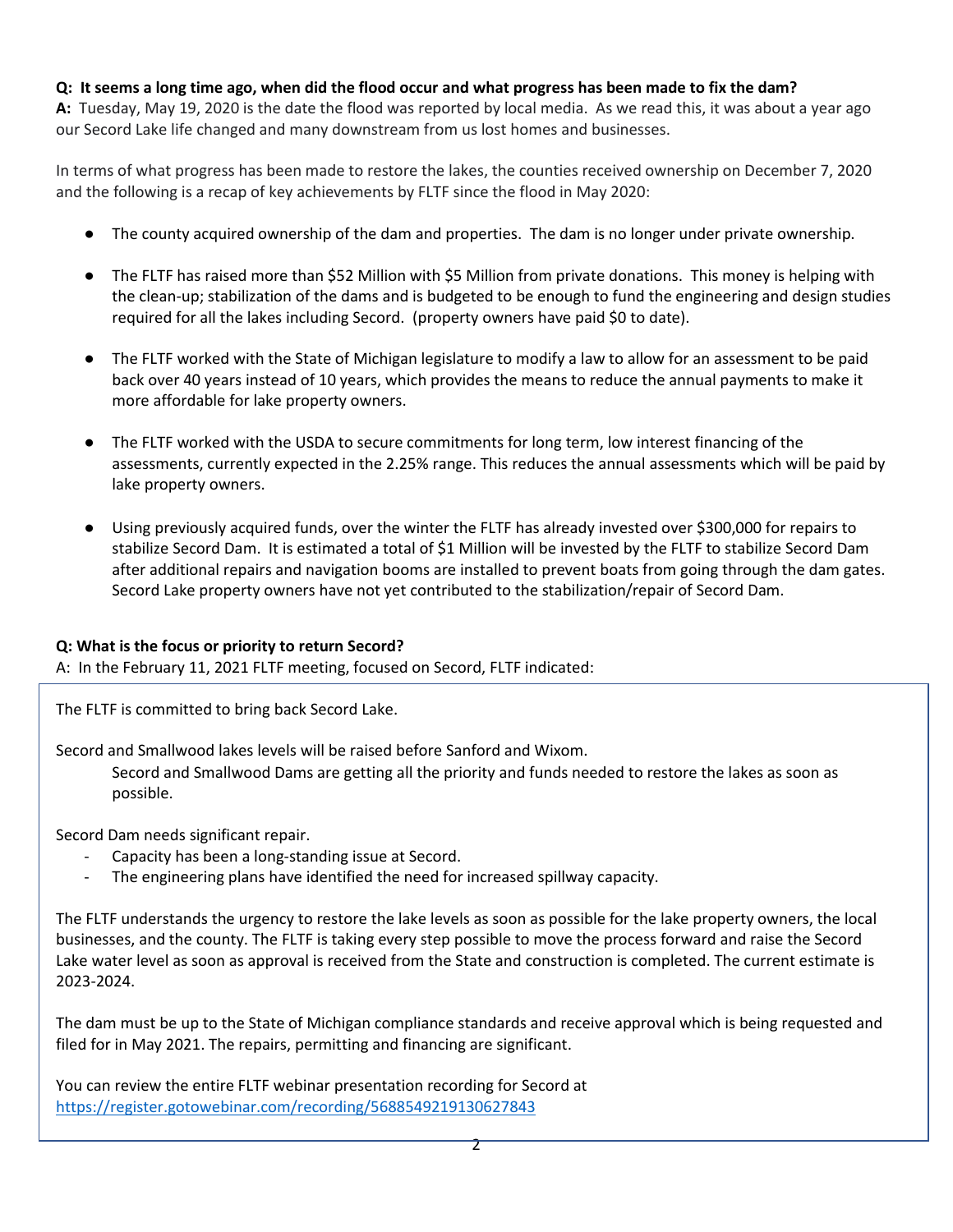# Q: It seems a long time ago, when did the flood occur and what progress has been made to fix the dam?

A: Tuesday, May 19, 2020 is the date the flood was reported by local media. As we read this, it was about a year ago our Secord Lake life changed and many downstream from us lost homes and businesses.

In terms of what progress has been made to restore the lakes, the counties received ownership on December 7, 2020 and the following is a recap of key achievements by FLTF since the flood in May 2020:

- The county acquired ownership of the dam and properties. The dam is no longer under private ownership.
- The FLTF has raised more than \$52 Million with \$5 Million from private donations. This money is helping with the clean-up; stabilization of the dams and is budgeted to be enough to fund the engineering and design studies required for all the lakes including Secord. (property owners have paid \$0 to date).
- The FLTF worked with the State of Michigan legislature to modify a law to allow for an assessment to be paid back over 40 years instead of 10 years, which provides the means to reduce the annual payments to make it more affordable for lake property owners.
- The FLTF worked with the USDA to secure commitments for long term, low interest financing of the assessments, currently expected in the 2.25% range. This reduces the annual assessments which will be paid by lake property owners.
- Using previously acquired funds, over the winter the FLTF has already invested over \$300,000 for repairs to stabilize Secord Dam. It is estimated a total of \$1 Million will be invested by the FLTF to stabilize Secord Dam after additional repairs and navigation booms are installed to prevent boats from going through the dam gates. Secord Lake property owners have not yet contributed to the stabilization/repair of Secord Dam.

# Q: What is the focus or priority to return Secord?

A: In the February 11, 2021 FLTF meeting, focused on Secord, FLTF indicated:

The FLTF is committed to bring back Secord Lake.

Secord and Smallwood lakes levels will be raised before Sanford and Wixom.

Secord and Smallwood Dams are getting all the priority and funds needed to restore the lakes as soon as possible.

Secord Dam needs significant repair.

- Capacity has been a long-standing issue at Secord.
- The engineering plans have identified the need for increased spillway capacity.

The FLTF understands the urgency to restore the lake levels as soon as possible for the lake property owners, the local businesses, and the county. The FLTF is taking every step possible to move the process forward and raise the Secord Lake water level as soon as approval is received from the State and construction is completed. The current estimate is 2023-2024.

The dam must be up to the State of Michigan compliance standards and receive approval which is being requested and filed for in May 2021. The repairs, permitting and financing are significant.

You can review the entire FLTF webinar presentation recording for Secord at https://register.gotowebinar.com/recording/5688549219130627843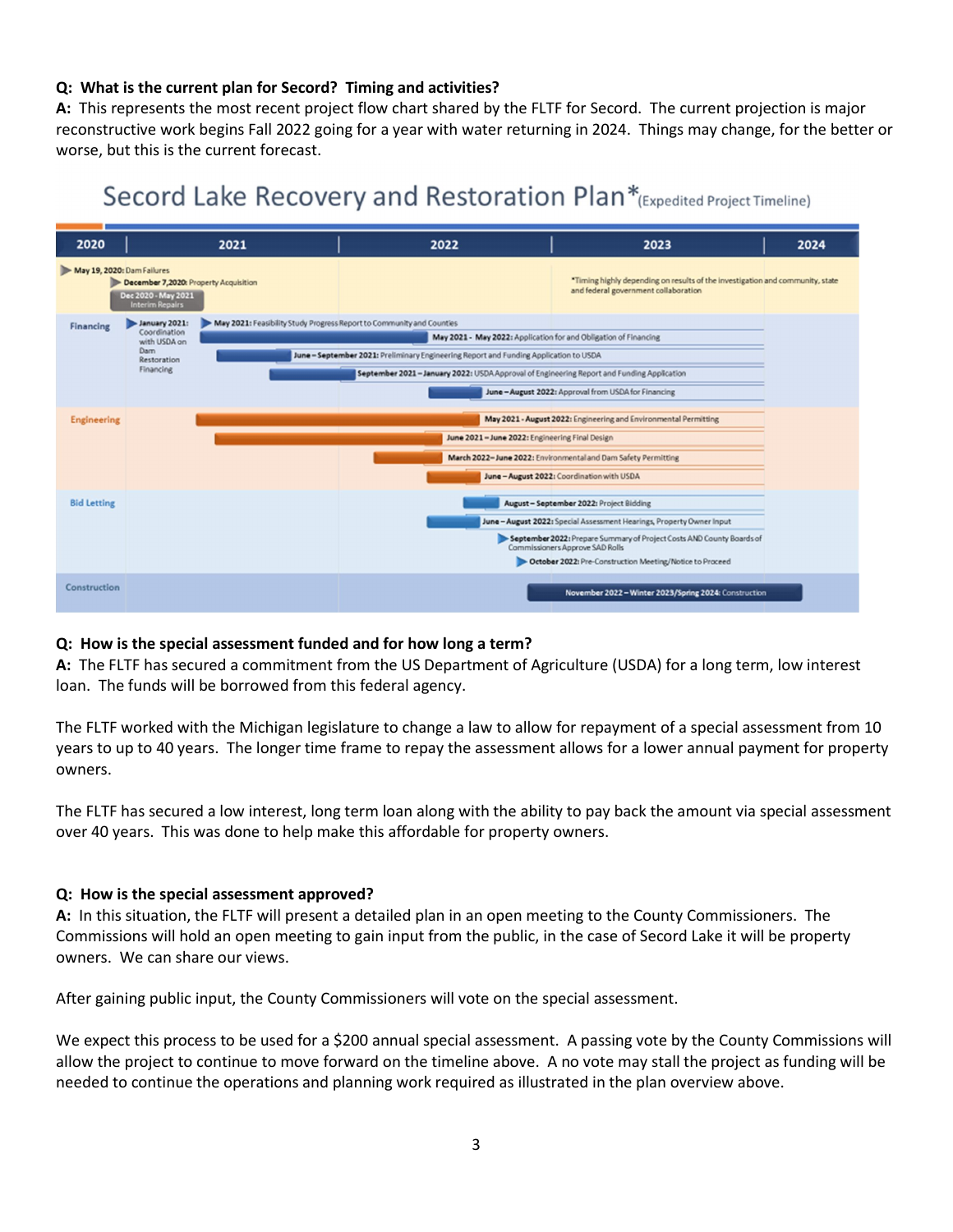## Q: What is the current plan for Secord? Timing and activities?

A: This represents the most recent project flow chart shared by the FLTF for Secord. The current projection is major reconstructive work begins Fall 2022 going for a year with water returning in 2024. Things may change, for the better or worse, but this is the current forecast.

# Secord Lake Recovery and Restoration Plan\*(Expedited Project Timeline)



#### Q: How is the special assessment funded and for how long a term?

A: The FLTF has secured a commitment from the US Department of Agriculture (USDA) for a long term, low interest loan. The funds will be borrowed from this federal agency.

The FLTF worked with the Michigan legislature to change a law to allow for repayment of a special assessment from 10 years to up to 40 years. The longer time frame to repay the assessment allows for a lower annual payment for property owners.

The FLTF has secured a low interest, long term loan along with the ability to pay back the amount via special assessment over 40 years. This was done to help make this affordable for property owners.

#### Q: How is the special assessment approved?

A: In this situation, the FLTF will present a detailed plan in an open meeting to the County Commissioners. The Commissions will hold an open meeting to gain input from the public, in the case of Secord Lake it will be property owners. We can share our views.

After gaining public input, the County Commissioners will vote on the special assessment.

We expect this process to be used for a \$200 annual special assessment. A passing vote by the County Commissions will allow the project to continue to move forward on the timeline above. A no vote may stall the project as funding will be needed to continue the operations and planning work required as illustrated in the plan overview above.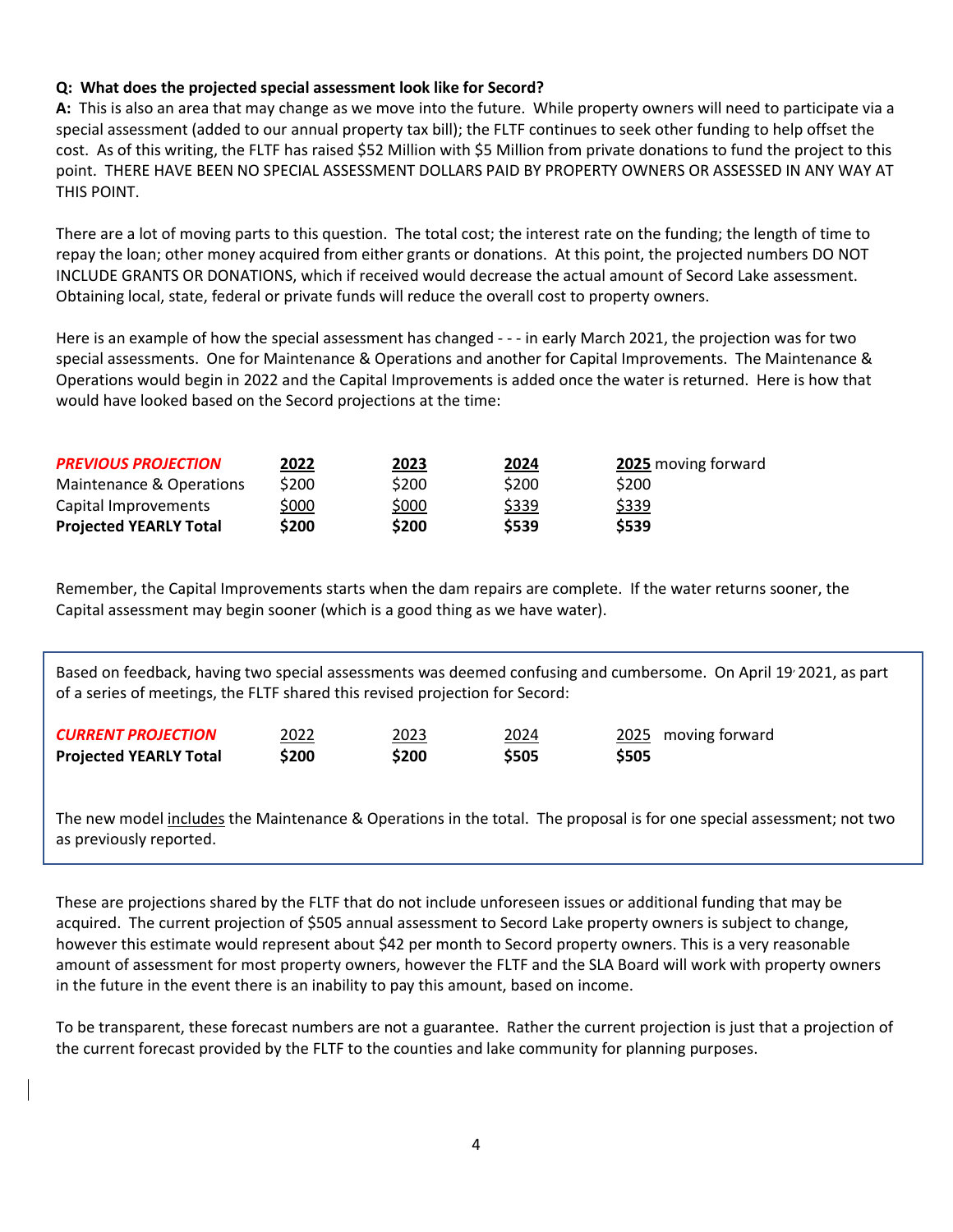## Q: What does the projected special assessment look like for Secord?

A: This is also an area that may change as we move into the future. While property owners will need to participate via a special assessment (added to our annual property tax bill); the FLTF continues to seek other funding to help offset the cost. As of this writing, the FLTF has raised \$52 Million with \$5 Million from private donations to fund the project to this point. THERE HAVE BEEN NO SPECIAL ASSESSMENT DOLLARS PAID BY PROPERTY OWNERS OR ASSESSED IN ANY WAY AT THIS POINT.

There are a lot of moving parts to this question. The total cost; the interest rate on the funding; the length of time to repay the loan; other money acquired from either grants or donations. At this point, the projected numbers DO NOT INCLUDE GRANTS OR DONATIONS, which if received would decrease the actual amount of Secord Lake assessment. Obtaining local, state, federal or private funds will reduce the overall cost to property owners.

Here is an example of how the special assessment has changed - - - in early March 2021, the projection was for two special assessments. One for Maintenance & Operations and another for Capital Improvements. The Maintenance & Operations would begin in 2022 and the Capital Improvements is added once the water is returned. Here is how that would have looked based on the Secord projections at the time:

| <b>PREVIOUS PROJECTION</b><br>Maintenance & Operations<br>Capital Improvements | 2022<br>\$200<br>\$000 | 2023<br>\$200<br>\$000 | 2024<br>\$200<br>\$339 | 2025 moving forward<br>\$200<br>\$339 |                               |       |       |       |       |
|--------------------------------------------------------------------------------|------------------------|------------------------|------------------------|---------------------------------------|-------------------------------|-------|-------|-------|-------|
|                                                                                |                        |                        |                        |                                       | <b>Projected YEARLY Total</b> | \$200 | \$200 | \$539 | \$539 |

Remember, the Capital Improvements starts when the dam repairs are complete. If the water returns sooner, the Capital assessment may begin sooner (which is a good thing as we have water).

Based on feedback, having two special assessments was deemed confusing and cumbersome. On April 19, 2021, as part of a series of meetings, the FLTF shared this revised projection for Secord:

| <b>CURRENT PROJECTION</b>     | 2022  | 2023  | 2024        | 2025 moving forward |
|-------------------------------|-------|-------|-------------|---------------------|
| <b>Projected YEARLY Total</b> | \$200 | \$200 | <b>S505</b> | \$505               |

The new model includes the Maintenance & Operations in the total. The proposal is for one special assessment; not two as previously reported.

These are projections shared by the FLTF that do not include unforeseen issues or additional funding that may be acquired. The current projection of \$505 annual assessment to Secord Lake property owners is subject to change, however this estimate would represent about \$42 per month to Secord property owners. This is a very reasonable amount of assessment for most property owners, however the FLTF and the SLA Board will work with property owners in the future in the event there is an inability to pay this amount, based on income.

To be transparent, these forecast numbers are not a guarantee. Rather the current projection is just that a projection of the current forecast provided by the FLTF to the counties and lake community for planning purposes.